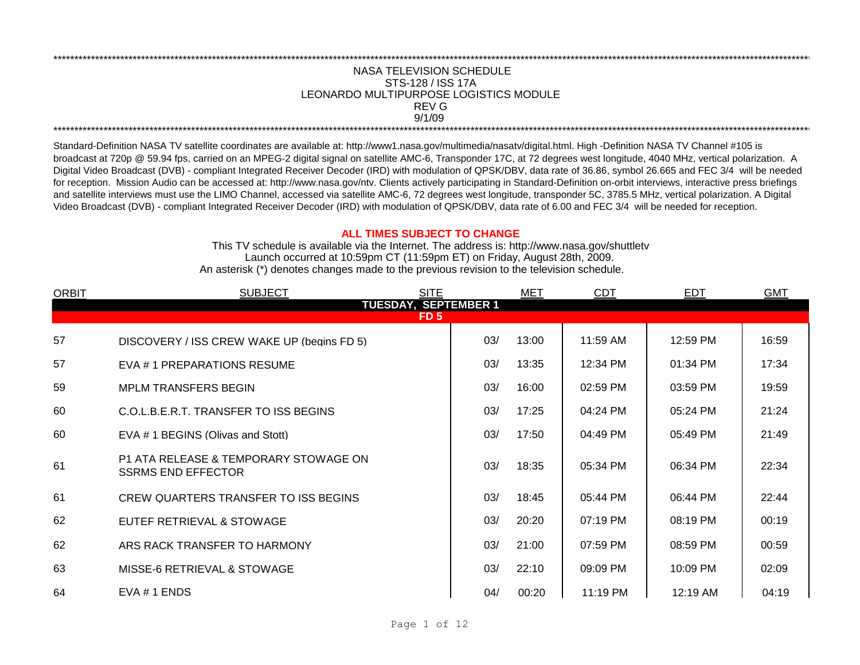## NASA TELEVISION SCHEDULE STS-128 / ISS 17A 9/1/09 \*\*\*\*\*\*\*\*\*\*\*\*\*\*\*\*\*\*\*\*\*\*\*\*\*\*\*\*\*\*\*\*\*\*\*\*\*\*\*\*\*\*\*\*\*\*\*\*\*\*\*\*\*\*\*\*\*\*\*\*\*\*\*\*\*\*\*\*\*\*\*\*\*\*\*\*\*\*\*\*\*\*\*\*\*\*\*\*\*\*\*\*\*\*\*\*\*\*\*\*\*\*\*\*\*\*\*\*\*\*\*\*\*\*\*\*\*\*\*\*\*\*\*\*\*\*\*\*\*\*\*\*\*\*\*\*\*\*\*\*\*\*\*\*\*\*\*\*\*\*\*\*\*\*\*\*\*\*\*\*\*\*\*\*\*\*\*\*\*\*\*\*\*\*\*\*\*\*\*\*\*\*\*\*\* REV G LEONARDO MULTIPURPOSE LOGISTICS MODULE

\*\*\*\*\*\*\*\*\*\*\*\*\*\*\*\*\*\*\*\*\*\*\*\*\*\*\*\*\*\*\*\*\*\*\*\*\*\*\*\*\*\*\*\*\*\*\*\*\*\*\*\*\*\*\*\*\*\*\*\*\*\*\*\*\*\*\*\*\*\*\*\*\*\*\*\*\*\*\*\*\*\*\*\*\*\*\*\*\*\*\*\*\*\*\*\*\*\*\*\*\*\*\*\*\*\*\*\*\*\*\*\*\*\*\*\*\*\*\*\*\*\*\*\*\*\*\*\*\*\*\*\*\*\*\*\*\*\*\*\*\*\*\*\*\*\*\*\*\*\*\*\*\*\*\*\*\*\*\*\*\*\*\*\*\*\*\*\*\*\*\*\*\*\*\*\*\*\*\*\*\*\*\*\*\*

Standard-Definition NASA TV satellite coordinates are available at: http://www1.nasa.gov/multimedia/nasatv/digital.html. High -Definition NASA TV Channel #105 is broadcast at 720p @ 59.94 fps, carried on an MPEG-2 digital signal on satellite AMC-6, Transponder 17C, at 72 degrees west longitude, 4040 MHz, vertical polarization. A Digital Video Broadcast (DVB) - compliant Integrated Receiver Decoder (IRD) with modulation of QPSK/DBV, data rate of 36.86, symbol 26.665 and FEC 3/4 will be needed for reception. Mission Audio can be accessed at: http://www.nasa.gov/ntv. Clients actively participating in Standard-Definition on-orbit interviews, interactive press briefings and satellite interviews must use the LIMO Channel, accessed via satellite AMC-6, 72 degrees west longitude, transponder 5C, 3785.5 MHz, vertical polarization. A Digital Video Broadcast (DVB) - compliant Integrated Receiver Decoder (IRD) with modulation of QPSK/DBV, data rate of 6.00 and FEC 3/4 will be needed for reception.

## **ALL TIMES SUBJECT TO CHANGE**

Launch occurred at 10:59pm CT (11:59pm ET) on Friday, August 28th, 2009. An asterisk (\*) denotes changes made to the previous revision to the television schedule. This TV schedule is available via the Internet. The address is: http://www.nasa.gov/shuttletv

| <b>ORBIT</b> | <b>SUBJECT</b>                                                     | <b>SITE</b>                                    | <b>MET</b> | <b>CDT</b> | <b>EDT</b> | <b>GMT</b> |
|--------------|--------------------------------------------------------------------|------------------------------------------------|------------|------------|------------|------------|
|              |                                                                    | <b>TUESDAY, SEPTEMBER 1</b><br>FD <sub>5</sub> |            |            |            |            |
|              |                                                                    |                                                |            |            |            |            |
| 57           | DISCOVERY / ISS CREW WAKE UP (begins FD 5)                         | 03/                                            | 13:00      | 11:59 AM   | 12:59 PM   | 16:59      |
| 57           | EVA # 1 PREPARATIONS RESUME                                        | 03/                                            | 13:35      | 12:34 PM   | 01:34 PM   | 17:34      |
| 59           | <b>MPLM TRANSFERS BEGIN</b>                                        | 03/                                            | 16:00      | 02:59 PM   | 03:59 PM   | 19:59      |
| 60           | C.O.L.B.E.R.T. TRANSFER TO ISS BEGINS                              | 03/                                            | 17:25      | 04:24 PM   | 05:24 PM   | 21:24      |
| 60           | EVA # 1 BEGINS (Olivas and Stott)                                  | 03/                                            | 17:50      | 04:49 PM   | 05:49 PM   | 21:49      |
| 61           | P1 ATA RELEASE & TEMPORARY STOWAGE ON<br><b>SSRMS END EFFECTOR</b> | 03/                                            | 18:35      | 05:34 PM   | 06:34 PM   | 22:34      |
| 61           | CREW QUARTERS TRANSFER TO ISS BEGINS                               | 03/                                            | 18:45      | 05:44 PM   | 06:44 PM   | 22:44      |
| 62           | EUTEF RETRIEVAL & STOWAGE                                          | 03/                                            | 20:20      | 07:19 PM   | 08:19 PM   | 00:19      |
| 62           | ARS RACK TRANSFER TO HARMONY                                       | 03/                                            | 21:00      | 07:59 PM   | 08:59 PM   | 00:59      |
| 63           | MISSE-6 RETRIEVAL & STOWAGE                                        | 03/                                            | 22:10      | 09:09 PM   | 10:09 PM   | 02:09      |
| 64           | EVA #1 ENDS                                                        | 04/                                            | 00:20      | 11:19 PM   | 12:19 AM   | 04:19      |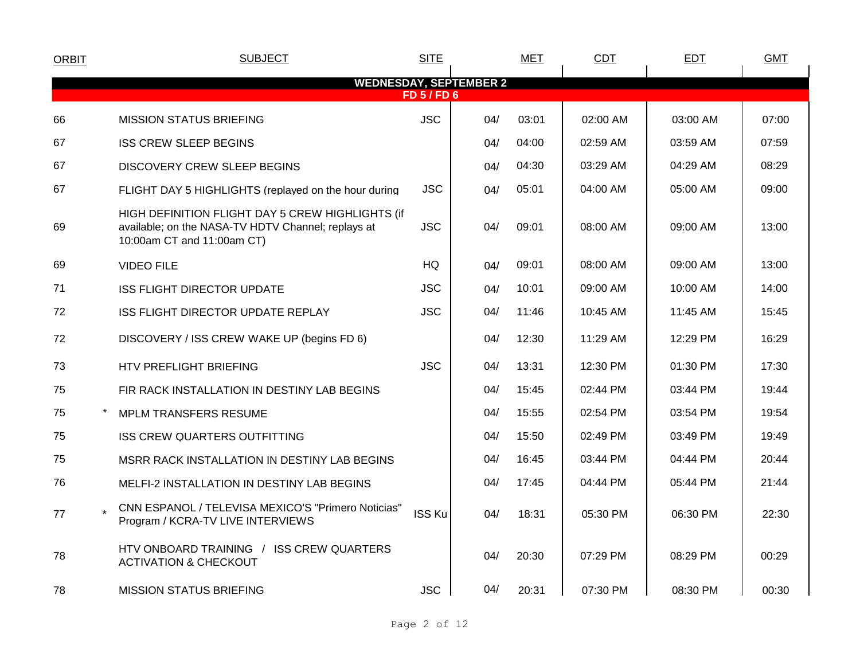| <b>ORBIT</b> | <b>SUBJECT</b>                                                                                                                       | <b>SITE</b>      |                               | <b>MET</b> | <b>CDT</b> | <b>EDT</b> | <b>GMT</b> |
|--------------|--------------------------------------------------------------------------------------------------------------------------------------|------------------|-------------------------------|------------|------------|------------|------------|
|              |                                                                                                                                      |                  | <b>WEDNESDAY, SEPTEMBER 2</b> |            |            |            |            |
|              |                                                                                                                                      | <b>FD 5/FD 6</b> |                               |            |            |            |            |
| 66           | <b>MISSION STATUS BRIEFING</b>                                                                                                       | <b>JSC</b>       | 04/                           | 03:01      | 02:00 AM   | 03:00 AM   | 07:00      |
| 67           | <b>ISS CREW SLEEP BEGINS</b>                                                                                                         |                  | 04/                           | 04:00      | 02:59 AM   | 03:59 AM   | 07:59      |
| 67           | <b>DISCOVERY CREW SLEEP BEGINS</b>                                                                                                   |                  | 04/                           | 04:30      | 03:29 AM   | 04:29 AM   | 08:29      |
| 67           | FLIGHT DAY 5 HIGHLIGHTS (replayed on the hour during                                                                                 | <b>JSC</b>       | 04/                           | 05:01      | 04:00 AM   | 05:00 AM   | 09:00      |
| 69           | HIGH DEFINITION FLIGHT DAY 5 CREW HIGHLIGHTS (if<br>available; on the NASA-TV HDTV Channel; replays at<br>10:00am CT and 11:00am CT) | <b>JSC</b>       | 04/                           | 09:01      | 08:00 AM   | 09:00 AM   | 13:00      |
| 69           | <b>VIDEO FILE</b>                                                                                                                    | <b>HQ</b>        | 04/                           | 09:01      | 08:00 AM   | 09:00 AM   | 13:00      |
| 71           | <b>ISS FLIGHT DIRECTOR UPDATE</b>                                                                                                    | <b>JSC</b>       | 04/                           | 10:01      | 09:00 AM   | 10:00 AM   | 14:00      |
| 72           | <b>ISS FLIGHT DIRECTOR UPDATE REPLAY</b>                                                                                             | <b>JSC</b>       | 04/                           | 11:46      | 10:45 AM   | 11:45 AM   | 15:45      |
| 72           | DISCOVERY / ISS CREW WAKE UP (begins FD 6)                                                                                           |                  | 04/                           | 12:30      | 11:29 AM   | 12:29 PM   | 16:29      |
| 73           | HTV PREFLIGHT BRIEFING                                                                                                               | <b>JSC</b>       | 04/                           | 13:31      | 12:30 PM   | 01:30 PM   | 17:30      |
| 75           | FIR RACK INSTALLATION IN DESTINY LAB BEGINS                                                                                          |                  | 04/                           | 15:45      | 02:44 PM   | 03:44 PM   | 19:44      |
| 75           | <b>MPLM TRANSFERS RESUME</b>                                                                                                         |                  | 04/                           | 15:55      | 02:54 PM   | 03:54 PM   | 19:54      |
| 75           | <b>ISS CREW QUARTERS OUTFITTING</b>                                                                                                  |                  | 04/                           | 15:50      | 02:49 PM   | 03:49 PM   | 19:49      |
| 75           | MSRR RACK INSTALLATION IN DESTINY LAB BEGINS                                                                                         |                  | 04/                           | 16:45      | 03:44 PM   | 04:44 PM   | 20:44      |
| 76           | MELFI-2 INSTALLATION IN DESTINY LAB BEGINS                                                                                           |                  | 04/                           | 17:45      | 04:44 PM   | 05:44 PM   | 21:44      |
| 77           | CNN ESPANOL / TELEVISA MEXICO'S "Primero Noticias"<br>Program / KCRA-TV LIVE INTERVIEWS                                              | <b>ISS Ku</b>    | 04/                           | 18:31      | 05:30 PM   | 06:30 PM   | 22:30      |
| 78           | HTV ONBOARD TRAINING / ISS CREW QUARTERS<br><b>ACTIVATION &amp; CHECKOUT</b>                                                         |                  | 04/                           | 20:30      | 07:29 PM   | 08:29 PM   | 00:29      |
| 78           | <b>MISSION STATUS BRIEFING</b>                                                                                                       | <b>JSC</b>       | 04/                           | 20:31      | 07:30 PM   | 08:30 PM   | 00:30      |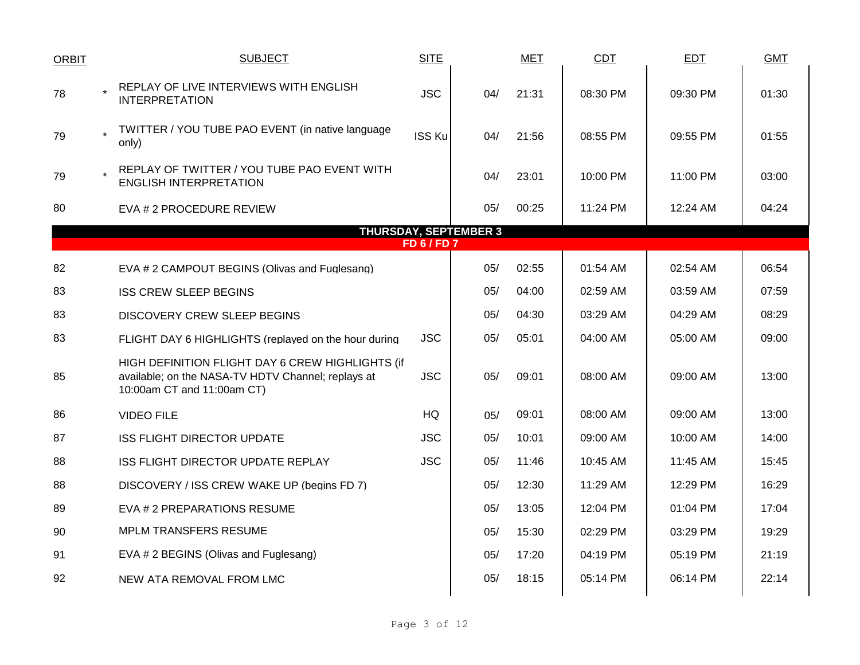| <b>ORBIT</b> | <b>SUBJECT</b>                                                                                                                       | <b>SITE</b>        |                              | <b>MET</b> | <b>CDT</b> | <b>EDT</b> | <b>GMT</b> |
|--------------|--------------------------------------------------------------------------------------------------------------------------------------|--------------------|------------------------------|------------|------------|------------|------------|
| 78           | REPLAY OF LIVE INTERVIEWS WITH ENGLISH<br><b>INTERPRETATION</b>                                                                      | <b>JSC</b>         | 04/                          | 21:31      | 08:30 PM   | 09:30 PM   | 01:30      |
| 79           | TWITTER / YOU TUBE PAO EVENT (in native language<br>only)                                                                            | <b>ISS Ku</b>      | 04/                          | 21:56      | 08:55 PM   | 09:55 PM   | 01:55      |
| 79           | REPLAY OF TWITTER / YOU TUBE PAO EVENT WITH<br><b>ENGLISH INTERPRETATION</b>                                                         |                    | 04/                          | 23:01      | 10:00 PM   | 11:00 PM   | 03:00      |
| 80           | EVA # 2 PROCEDURE REVIEW                                                                                                             |                    | 05/                          | 00:25      | 11:24 PM   | 12:24 AM   | 04:24      |
|              |                                                                                                                                      |                    | <b>THURSDAY, SEPTEMBER 3</b> |            |            |            |            |
|              |                                                                                                                                      | <b>FD 6 / FD 7</b> |                              |            |            |            |            |
| 82           | EVA # 2 CAMPOUT BEGINS (Olivas and Fuglesang)                                                                                        |                    | 05/                          | 02:55      | 01:54 AM   | 02:54 AM   | 06:54      |
| 83           | <b>ISS CREW SLEEP BEGINS</b>                                                                                                         |                    | 05/                          | 04:00      | 02:59 AM   | 03:59 AM   | 07:59      |
| 83           | DISCOVERY CREW SLEEP BEGINS                                                                                                          |                    | 05/                          | 04:30      | 03:29 AM   | 04:29 AM   | 08:29      |
| 83           | FLIGHT DAY 6 HIGHLIGHTS (replayed on the hour during                                                                                 | <b>JSC</b>         | 05/                          | 05:01      | 04:00 AM   | 05:00 AM   | 09:00      |
| 85           | HIGH DEFINITION FLIGHT DAY 6 CREW HIGHLIGHTS (if<br>available; on the NASA-TV HDTV Channel; replays at<br>10:00am CT and 11:00am CT) | <b>JSC</b>         | 05/                          | 09:01      | 08:00 AM   | 09:00 AM   | 13:00      |
| 86           | <b>VIDEO FILE</b>                                                                                                                    | HQ                 | 05/                          | 09:01      | 08:00 AM   | 09:00 AM   | 13:00      |
| 87           | <b>ISS FLIGHT DIRECTOR UPDATE</b>                                                                                                    | <b>JSC</b>         | 05/                          | 10:01      | 09:00 AM   | 10:00 AM   | 14:00      |
| 88           | ISS FLIGHT DIRECTOR UPDATE REPLAY                                                                                                    | <b>JSC</b>         | 05/                          | 11:46      | 10:45 AM   | 11:45 AM   | 15:45      |
| 88           | DISCOVERY / ISS CREW WAKE UP (begins FD 7)                                                                                           |                    | 05/                          | 12:30      | 11:29 AM   | 12:29 PM   | 16:29      |
| 89           | EVA # 2 PREPARATIONS RESUME                                                                                                          |                    | 05/                          | 13:05      | 12:04 PM   | 01:04 PM   | 17:04      |
| 90           | <b>MPLM TRANSFERS RESUME</b>                                                                                                         |                    | 05/                          | 15:30      | 02:29 PM   | 03:29 PM   | 19:29      |
| 91           | EVA # 2 BEGINS (Olivas and Fuglesang)                                                                                                |                    | 05/                          | 17:20      | 04:19 PM   | 05:19 PM   | 21:19      |
| 92           | NEW ATA REMOVAL FROM LMC                                                                                                             |                    | 05/                          | 18:15      | 05:14 PM   | 06:14 PM   | 22:14      |
|              |                                                                                                                                      |                    |                              |            |            |            |            |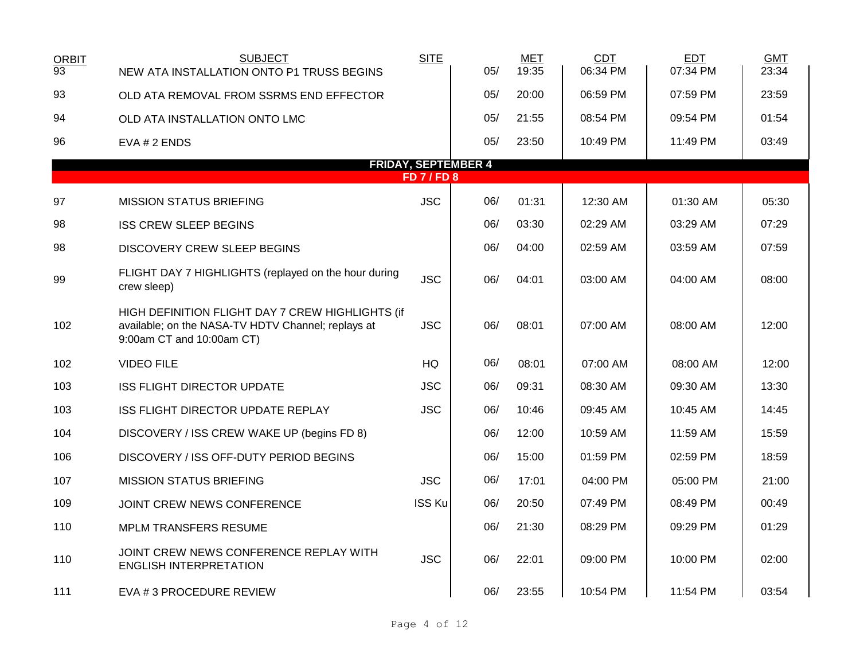| <b>ORBIT</b><br>$\overline{93}$ | <b>SUBJECT</b><br>NEW ATA INSTALLATION ONTO P1 TRUSS BEGINS                                                                         | <b>SITE</b>   | 05/ | MET<br>19:35 | <b>CDT</b><br>06:34 PM | <b>EDT</b><br>07:34 PM | <b>GMT</b><br>23:34 |  |  |  |  |  |  |  |
|---------------------------------|-------------------------------------------------------------------------------------------------------------------------------------|---------------|-----|--------------|------------------------|------------------------|---------------------|--|--|--|--|--|--|--|
| 93                              | OLD ATA REMOVAL FROM SSRMS END EFFECTOR                                                                                             |               | 05/ | 20:00        | 06:59 PM               | 07:59 PM               | 23:59               |  |  |  |  |  |  |  |
|                                 |                                                                                                                                     |               |     |              |                        |                        |                     |  |  |  |  |  |  |  |
| 94                              | OLD ATA INSTALLATION ONTO LMC                                                                                                       |               | 05/ | 21:55        | 08:54 PM               | 09:54 PM               | 01:54               |  |  |  |  |  |  |  |
| 96                              | EVA # 2 ENDS                                                                                                                        |               | 05/ | 23:50        | 10:49 PM               | 11:49 PM               | 03:49               |  |  |  |  |  |  |  |
|                                 | <b>FRIDAY, SEPTEMBER 4</b><br><b>FD7/FD8</b>                                                                                        |               |     |              |                        |                        |                     |  |  |  |  |  |  |  |
|                                 |                                                                                                                                     |               |     |              |                        |                        |                     |  |  |  |  |  |  |  |
| 97                              | <b>MISSION STATUS BRIEFING</b>                                                                                                      | <b>JSC</b>    | 06/ | 01:31        | 12:30 AM               | 01:30 AM               | 05:30               |  |  |  |  |  |  |  |
| 98                              | <b>ISS CREW SLEEP BEGINS</b>                                                                                                        |               | 06/ | 03:30        | 02:29 AM               | 03:29 AM               | 07:29               |  |  |  |  |  |  |  |
| 98                              | <b>DISCOVERY CREW SLEEP BEGINS</b>                                                                                                  |               | 06/ | 04:00        | 02:59 AM               | 03:59 AM               | 07:59               |  |  |  |  |  |  |  |
| 99                              | FLIGHT DAY 7 HIGHLIGHTS (replayed on the hour during<br>crew sleep)                                                                 | <b>JSC</b>    | 06/ | 04:01        | 03:00 AM               | 04:00 AM               | 08:00               |  |  |  |  |  |  |  |
| 102                             | HIGH DEFINITION FLIGHT DAY 7 CREW HIGHLIGHTS (if<br>available; on the NASA-TV HDTV Channel; replays at<br>9:00am CT and 10:00am CT) | <b>JSC</b>    | 06/ | 08:01        | 07:00 AM               | 08:00 AM               | 12:00               |  |  |  |  |  |  |  |
| 102                             | <b>VIDEO FILE</b>                                                                                                                   | <b>HQ</b>     | 06/ | 08:01        | 07:00 AM               | 08:00 AM               | 12:00               |  |  |  |  |  |  |  |
| 103                             | <b>ISS FLIGHT DIRECTOR UPDATE</b>                                                                                                   | <b>JSC</b>    | 06/ | 09:31        | 08:30 AM               | 09:30 AM               | 13:30               |  |  |  |  |  |  |  |
| 103                             | ISS FLIGHT DIRECTOR UPDATE REPLAY                                                                                                   | <b>JSC</b>    | 06/ | 10:46        | 09:45 AM               | 10:45 AM               | 14:45               |  |  |  |  |  |  |  |
| 104                             | DISCOVERY / ISS CREW WAKE UP (begins FD 8)                                                                                          |               | 06/ | 12:00        | 10:59 AM               | 11:59 AM               | 15:59               |  |  |  |  |  |  |  |
| 106                             | DISCOVERY / ISS OFF-DUTY PERIOD BEGINS                                                                                              |               | 06/ | 15:00        | 01:59 PM               | 02:59 PM               | 18:59               |  |  |  |  |  |  |  |
| 107                             | <b>MISSION STATUS BRIEFING</b>                                                                                                      | <b>JSC</b>    | 06/ | 17:01        | 04:00 PM               | 05:00 PM               | 21:00               |  |  |  |  |  |  |  |
| 109                             | JOINT CREW NEWS CONFERENCE                                                                                                          | <b>ISS Ku</b> | 06/ | 20:50        | 07:49 PM               | 08:49 PM               | 00:49               |  |  |  |  |  |  |  |
| 110                             | <b>MPLM TRANSFERS RESUME</b>                                                                                                        |               | 06/ | 21:30        | 08:29 PM               | 09:29 PM               | 01:29               |  |  |  |  |  |  |  |
| 110                             | JOINT CREW NEWS CONFERENCE REPLAY WITH<br><b>ENGLISH INTERPRETATION</b>                                                             | <b>JSC</b>    | 06/ | 22:01        | 09:00 PM               | 10:00 PM               | 02:00               |  |  |  |  |  |  |  |
| 111                             | EVA # 3 PROCEDURE REVIEW                                                                                                            |               | 06/ | 23:55        | 10:54 PM               | 11:54 PM               | 03:54               |  |  |  |  |  |  |  |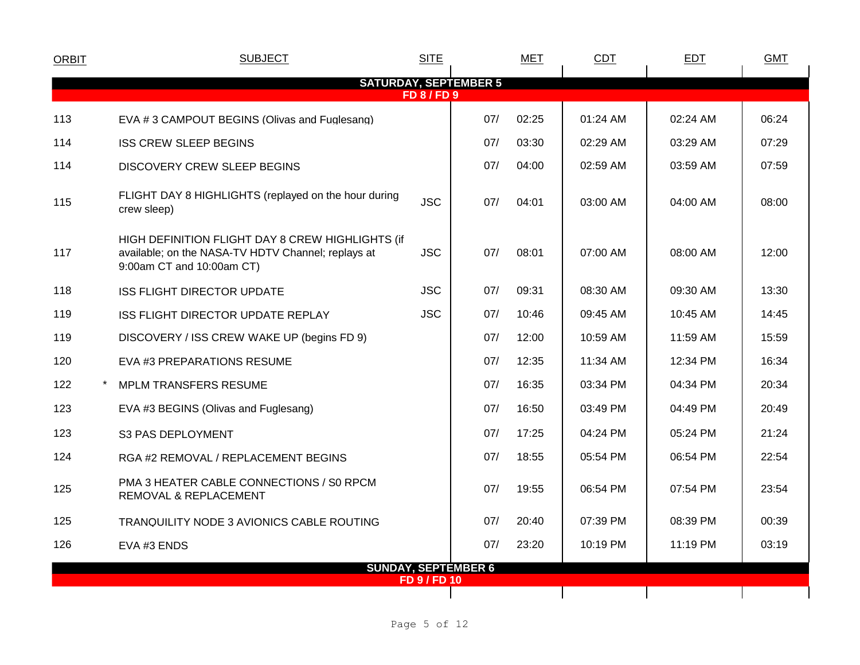| <b>ORBIT</b> | <b>SUBJECT</b>                                                                                                                      | <b>SITE</b>         |                            | <b>MET</b> | CDT      | <b>EDT</b> | <b>GMT</b> |
|--------------|-------------------------------------------------------------------------------------------------------------------------------------|---------------------|----------------------------|------------|----------|------------|------------|
|              | <b>SATURDAY, SEPTEMBER 5</b>                                                                                                        | <b>FD 8/FD 9</b>    |                            |            |          |            |            |
| 113          | EVA #3 CAMPOUT BEGINS (Olivas and Fuglesang)                                                                                        |                     | 07/                        | 02:25      | 01:24 AM | 02:24 AM   | 06:24      |
| 114          | <b>ISS CREW SLEEP BEGINS</b>                                                                                                        |                     | 07/                        | 03:30      | 02:29 AM | 03:29 AM   | 07:29      |
| 114          | <b>DISCOVERY CREW SLEEP BEGINS</b>                                                                                                  |                     | 07/                        | 04:00      | 02:59 AM | 03:59 AM   | 07:59      |
| 115          | FLIGHT DAY 8 HIGHLIGHTS (replayed on the hour during<br>crew sleep)                                                                 | <b>JSC</b>          | 07/                        | 04:01      | 03:00 AM | 04:00 AM   | 08:00      |
| 117          | HIGH DEFINITION FLIGHT DAY 8 CREW HIGHLIGHTS (if<br>available; on the NASA-TV HDTV Channel; replays at<br>9:00am CT and 10:00am CT) | <b>JSC</b>          | 07/                        | 08:01      | 07:00 AM | 08:00 AM   | 12:00      |
| 118          | <b>ISS FLIGHT DIRECTOR UPDATE</b>                                                                                                   | <b>JSC</b>          | 07/                        | 09:31      | 08:30 AM | 09:30 AM   | 13:30      |
| 119          | ISS FLIGHT DIRECTOR UPDATE REPLAY                                                                                                   | <b>JSC</b>          | 07/                        | 10:46      | 09:45 AM | 10:45 AM   | 14:45      |
| 119          | DISCOVERY / ISS CREW WAKE UP (begins FD 9)                                                                                          |                     | 07/                        | 12:00      | 10:59 AM | 11:59 AM   | 15:59      |
| 120          | EVA #3 PREPARATIONS RESUME                                                                                                          |                     | 07/                        | 12:35      | 11:34 AM | 12:34 PM   | 16:34      |
| 122          | <b>MPLM TRANSFERS RESUME</b>                                                                                                        |                     | 07/                        | 16:35      | 03:34 PM | 04:34 PM   | 20:34      |
| 123          | EVA #3 BEGINS (Olivas and Fuglesang)                                                                                                |                     | 07/                        | 16:50      | 03:49 PM | 04:49 PM   | 20:49      |
| 123          | <b>S3 PAS DEPLOYMENT</b>                                                                                                            |                     | 07/                        | 17:25      | 04:24 PM | 05:24 PM   | 21:24      |
| 124          | RGA #2 REMOVAL / REPLACEMENT BEGINS                                                                                                 |                     | 07/                        | 18:55      | 05:54 PM | 06:54 PM   | 22:54      |
| 125          | PMA 3 HEATER CABLE CONNECTIONS / S0 RPCM<br>REMOVAL & REPLACEMENT                                                                   |                     | 07/                        | 19:55      | 06:54 PM | 07:54 PM   | 23:54      |
| 125          | TRANQUILITY NODE 3 AVIONICS CABLE ROUTING                                                                                           |                     | 07/                        | 20:40      | 07:39 PM | 08:39 PM   | 00:39      |
| 126          | EVA #3 ENDS                                                                                                                         |                     | 07/                        | 23:20      | 10:19 PM | 11:19 PM   | 03:19      |
|              |                                                                                                                                     | <b>FD 9 / FD 10</b> | <b>SUNDAY, SEPTEMBER 6</b> |            |          |            |            |
|              |                                                                                                                                     |                     |                            |            |          |            |            |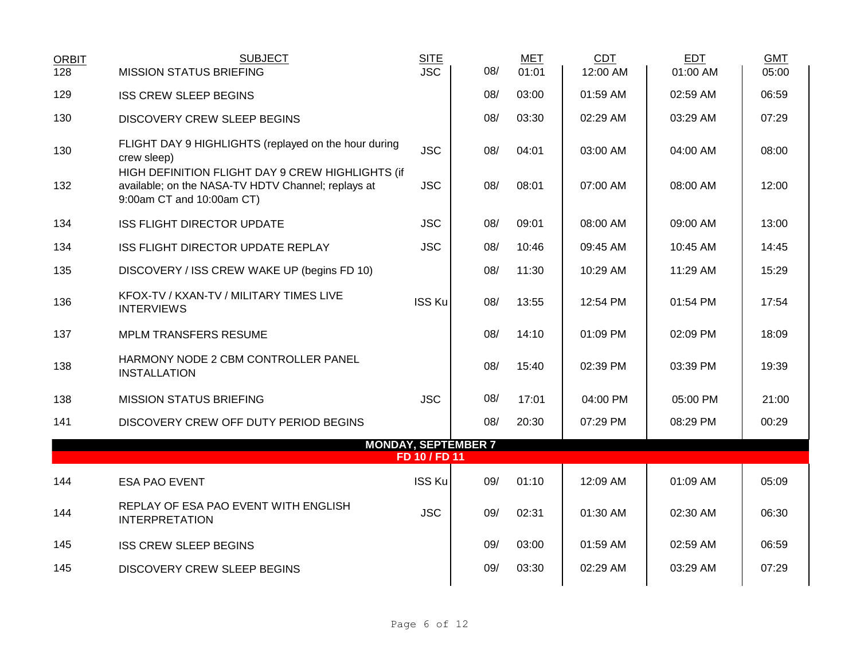| <b>ORBIT</b> | <b>SUBJECT</b>                                                                                                                      | <b>SITE</b>   |                            | <b>MET</b> | <b>CDT</b> | <b>EDT</b> | <b>GMT</b> |
|--------------|-------------------------------------------------------------------------------------------------------------------------------------|---------------|----------------------------|------------|------------|------------|------------|
| 128          | <b>MISSION STATUS BRIEFING</b>                                                                                                      | <b>JSC</b>    | 08/                        | 01:01      | 12:00 AM   | 01:00 AM   | 05:00      |
| 129          | <b>ISS CREW SLEEP BEGINS</b>                                                                                                        |               | 08/                        | 03:00      | 01:59 AM   | 02:59 AM   | 06:59      |
| 130          | <b>DISCOVERY CREW SLEEP BEGINS</b>                                                                                                  |               | 08/                        | 03:30      | 02:29 AM   | 03:29 AM   | 07:29      |
| 130          | FLIGHT DAY 9 HIGHLIGHTS (replayed on the hour during<br>crew sleep)                                                                 | <b>JSC</b>    | 08/                        | 04:01      | 03:00 AM   | 04:00 AM   | 08:00      |
| 132          | HIGH DEFINITION FLIGHT DAY 9 CREW HIGHLIGHTS (if<br>available; on the NASA-TV HDTV Channel; replays at<br>9:00am CT and 10:00am CT) | <b>JSC</b>    | 08/                        | 08:01      | 07:00 AM   | 08:00 AM   | 12:00      |
| 134          | <b>ISS FLIGHT DIRECTOR UPDATE</b>                                                                                                   | <b>JSC</b>    | 08/                        | 09:01      | 08:00 AM   | 09:00 AM   | 13:00      |
| 134          | ISS FLIGHT DIRECTOR UPDATE REPLAY                                                                                                   | <b>JSC</b>    | 08/                        | 10:46      | 09:45 AM   | 10:45 AM   | 14:45      |
| 135          | DISCOVERY / ISS CREW WAKE UP (begins FD 10)                                                                                         |               | 08/                        | 11:30      | 10:29 AM   | 11:29 AM   | 15:29      |
| 136          | KFOX-TV / KXAN-TV / MILITARY TIMES LIVE<br><b>INTERVIEWS</b>                                                                        | <b>ISS Ku</b> | 08/                        | 13:55      | 12:54 PM   | 01:54 PM   | 17:54      |
| 137          | <b>MPLM TRANSFERS RESUME</b>                                                                                                        |               | 08/                        | 14:10      | 01:09 PM   | 02:09 PM   | 18:09      |
| 138          | HARMONY NODE 2 CBM CONTROLLER PANEL<br><b>INSTALLATION</b>                                                                          |               | 08/                        | 15:40      | 02:39 PM   | 03:39 PM   | 19:39      |
| 138          | <b>MISSION STATUS BRIEFING</b>                                                                                                      | <b>JSC</b>    | 08/                        | 17:01      | 04:00 PM   | 05:00 PM   | 21:00      |
| 141          | DISCOVERY CREW OFF DUTY PERIOD BEGINS                                                                                               |               | 08/                        | 20:30      | 07:29 PM   | 08:29 PM   | 00:29      |
|              |                                                                                                                                     |               | <b>MONDAY, SEPTEMBER 7</b> |            |            |            |            |
|              |                                                                                                                                     | FD 10 / FD 11 |                            |            |            |            |            |
| 144          | <b>ESA PAO EVENT</b>                                                                                                                | <b>ISS Ku</b> | 09/                        | 01:10      | 12:09 AM   | 01:09 AM   | 05:09      |
| 144          | REPLAY OF ESA PAO EVENT WITH ENGLISH<br><b>INTERPRETATION</b>                                                                       | <b>JSC</b>    | 09/                        | 02:31      | 01:30 AM   | 02:30 AM   | 06:30      |
| 145          | <b>ISS CREW SLEEP BEGINS</b>                                                                                                        |               | 09/                        | 03:00      | 01:59 AM   | 02:59 AM   | 06:59      |
| 145          | DISCOVERY CREW SLEEP BEGINS                                                                                                         |               | 09/                        | 03:30      | 02:29 AM   | 03:29 AM   | 07:29      |
|              |                                                                                                                                     |               |                            |            |            |            |            |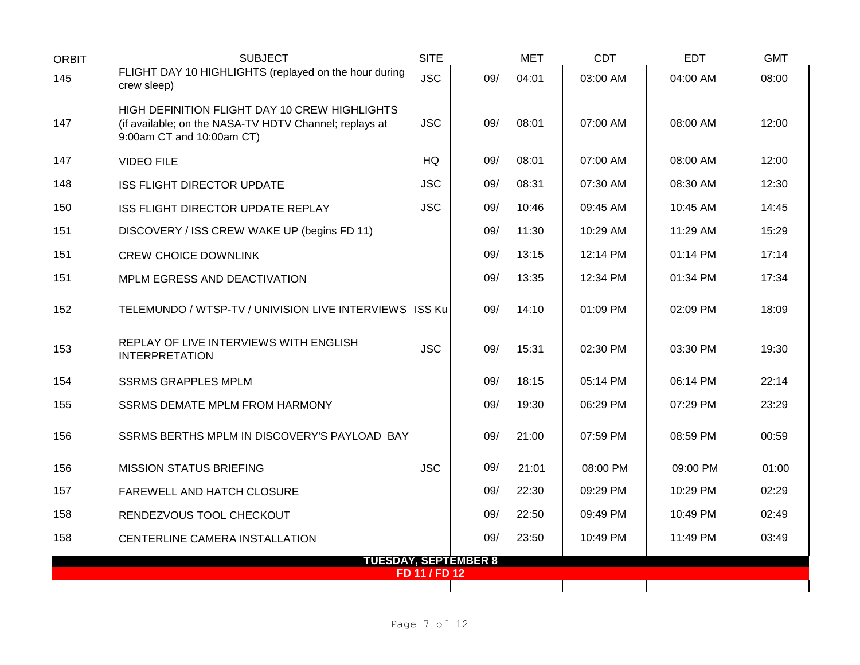| <b>ORBIT</b> | <b>SUBJECT</b>                                                                                                                       | <b>SITE</b>   |                             | <b>MET</b> | <b>CDT</b> | <b>EDT</b> | <b>GMT</b> |
|--------------|--------------------------------------------------------------------------------------------------------------------------------------|---------------|-----------------------------|------------|------------|------------|------------|
| 145          | FLIGHT DAY 10 HIGHLIGHTS (replayed on the hour during<br>crew sleep)                                                                 | <b>JSC</b>    | 09/                         | 04:01      | 03:00 AM   | 04:00 AM   | 08:00      |
| 147          | HIGH DEFINITION FLIGHT DAY 10 CREW HIGHLIGHTS<br>(if available; on the NASA-TV HDTV Channel; replays at<br>9:00am CT and 10:00am CT) | <b>JSC</b>    | 09/                         | 08:01      | 07:00 AM   | 08:00 AM   | 12:00      |
| 147          | <b>VIDEO FILE</b>                                                                                                                    | HQ            | 09/                         | 08:01      | 07:00 AM   | 08:00 AM   | 12:00      |
| 148          | <b>ISS FLIGHT DIRECTOR UPDATE</b>                                                                                                    | <b>JSC</b>    | 09/                         | 08:31      | 07:30 AM   | 08:30 AM   | 12:30      |
| 150          | ISS FLIGHT DIRECTOR UPDATE REPLAY                                                                                                    | <b>JSC</b>    | 09/                         | 10:46      | 09:45 AM   | 10:45 AM   | 14:45      |
| 151          | DISCOVERY / ISS CREW WAKE UP (begins FD 11)                                                                                          |               | 09/                         | 11:30      | 10:29 AM   | 11:29 AM   | 15:29      |
| 151          | <b>CREW CHOICE DOWNLINK</b>                                                                                                          |               | 09/                         | 13:15      | 12:14 PM   | 01:14 PM   | 17:14      |
| 151          | MPLM EGRESS AND DEACTIVATION                                                                                                         |               | 09/                         | 13:35      | 12:34 PM   | 01:34 PM   | 17:34      |
| 152          | TELEMUNDO / WTSP-TV / UNIVISION LIVE INTERVIEWS ISS Ku                                                                               |               | 09/                         | 14:10      | 01:09 PM   | 02:09 PM   | 18:09      |
| 153          | REPLAY OF LIVE INTERVIEWS WITH ENGLISH<br><b>INTERPRETATION</b>                                                                      | <b>JSC</b>    | 09/                         | 15:31      | 02:30 PM   | 03:30 PM   | 19:30      |
| 154          | <b>SSRMS GRAPPLES MPLM</b>                                                                                                           |               | 09/                         | 18:15      | 05:14 PM   | 06:14 PM   | 22:14      |
| 155          | <b>SSRMS DEMATE MPLM FROM HARMONY</b>                                                                                                |               | 09/                         | 19:30      | 06:29 PM   | 07:29 PM   | 23:29      |
| 156          | SSRMS BERTHS MPLM IN DISCOVERY'S PAYLOAD BAY                                                                                         |               | 09/                         | 21:00      | 07:59 PM   | 08:59 PM   | 00:59      |
| 156          | <b>MISSION STATUS BRIEFING</b>                                                                                                       | <b>JSC</b>    | 09/                         | 21:01      | 08:00 PM   | 09:00 PM   | 01:00      |
| 157          | FAREWELL AND HATCH CLOSURE                                                                                                           |               | 09/                         | 22:30      | 09:29 PM   | 10:29 PM   | 02:29      |
| 158          | RENDEZVOUS TOOL CHECKOUT                                                                                                             |               | 09/                         | 22:50      | 09:49 PM   | 10:49 PM   | 02:49      |
| 158          | CENTERLINE CAMERA INSTALLATION                                                                                                       |               | 09/                         | 23:50      | 10:49 PM   | 11:49 PM   | 03:49      |
|              |                                                                                                                                      | FD 11 / FD 12 | <b>TUESDAY, SEPTEMBER 8</b> |            |            |            |            |
|              |                                                                                                                                      |               |                             |            |            |            |            |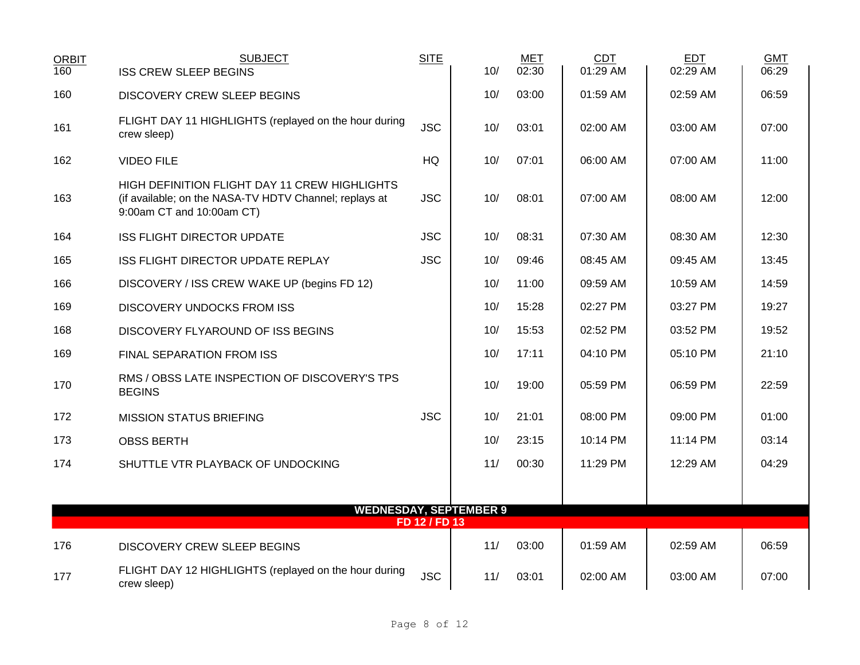| <b>ORBIT</b> | <b>SUBJECT</b>                                                                                                                       | <b>SITE</b>   | 10/                           | <b>MET</b> | <b>CDT</b><br>01:29 AM | <b>EDT</b><br>02:29 AM | <b>GMT</b> |
|--------------|--------------------------------------------------------------------------------------------------------------------------------------|---------------|-------------------------------|------------|------------------------|------------------------|------------|
| 160          | <b>ISS CREW SLEEP BEGINS</b>                                                                                                         |               |                               | 02:30      |                        |                        | 06:29      |
| 160          | DISCOVERY CREW SLEEP BEGINS                                                                                                          |               | 10/                           | 03:00      | 01:59 AM               | 02:59 AM               | 06:59      |
| 161          | FLIGHT DAY 11 HIGHLIGHTS (replayed on the hour during<br>crew sleep)                                                                 | <b>JSC</b>    | 10/                           | 03:01      | 02:00 AM               | 03:00 AM               | 07:00      |
| 162          | <b>VIDEO FILE</b>                                                                                                                    | HQ            | 10/                           | 07:01      | 06:00 AM               | 07:00 AM               | 11:00      |
| 163          | HIGH DEFINITION FLIGHT DAY 11 CREW HIGHLIGHTS<br>(if available; on the NASA-TV HDTV Channel; replays at<br>9:00am CT and 10:00am CT) | <b>JSC</b>    | 10/                           | 08:01      | 07:00 AM               | 08:00 AM               | 12:00      |
| 164          | <b>ISS FLIGHT DIRECTOR UPDATE</b>                                                                                                    | <b>JSC</b>    | 10/                           | 08:31      | 07:30 AM               | 08:30 AM               | 12:30      |
| 165          | ISS FLIGHT DIRECTOR UPDATE REPLAY                                                                                                    | <b>JSC</b>    | 10/                           | 09:46      | 08:45 AM               | 09:45 AM               | 13:45      |
| 166          | DISCOVERY / ISS CREW WAKE UP (begins FD 12)                                                                                          |               | 10/                           | 11:00      | 09:59 AM               | 10:59 AM               | 14:59      |
| 169          | <b>DISCOVERY UNDOCKS FROM ISS</b>                                                                                                    |               | 10/                           | 15:28      | 02:27 PM               | 03:27 PM               | 19:27      |
| 168          | DISCOVERY FLYAROUND OF ISS BEGINS                                                                                                    |               | 10/                           | 15:53      | 02:52 PM               | 03:52 PM               | 19:52      |
| 169          | FINAL SEPARATION FROM ISS                                                                                                            |               | 10/                           | 17:11      | 04:10 PM               | 05:10 PM               | 21:10      |
| 170          | RMS / OBSS LATE INSPECTION OF DISCOVERY'S TPS<br><b>BEGINS</b>                                                                       |               | 10/                           | 19:00      | 05:59 PM               | 06:59 PM               | 22:59      |
| 172          | <b>MISSION STATUS BRIEFING</b>                                                                                                       | <b>JSC</b>    | 10/                           | 21:01      | 08:00 PM               | 09:00 PM               | 01:00      |
| 173          | <b>OBSS BERTH</b>                                                                                                                    |               | 10/                           | 23:15      | 10:14 PM               | 11:14 PM               | 03:14      |
| 174          | SHUTTLE VTR PLAYBACK OF UNDOCKING                                                                                                    |               | 11/                           | 00:30      | 11:29 PM               | 12:29 AM               | 04:29      |
|              |                                                                                                                                      |               |                               |            |                        |                        |            |
|              |                                                                                                                                      | FD 12 / FD 13 | <b>WEDNESDAY, SEPTEMBER 9</b> |            |                        |                        |            |
| 176          | <b>DISCOVERY CREW SLEEP BEGINS</b>                                                                                                   |               | 11/                           | 03:00      | 01:59 AM               | 02:59 AM               | 06:59      |
| 177          | FLIGHT DAY 12 HIGHLIGHTS (replayed on the hour during<br>crew sleep)                                                                 | <b>JSC</b>    | 11/                           | 03:01      | 02:00 AM               | 03:00 AM               | 07:00      |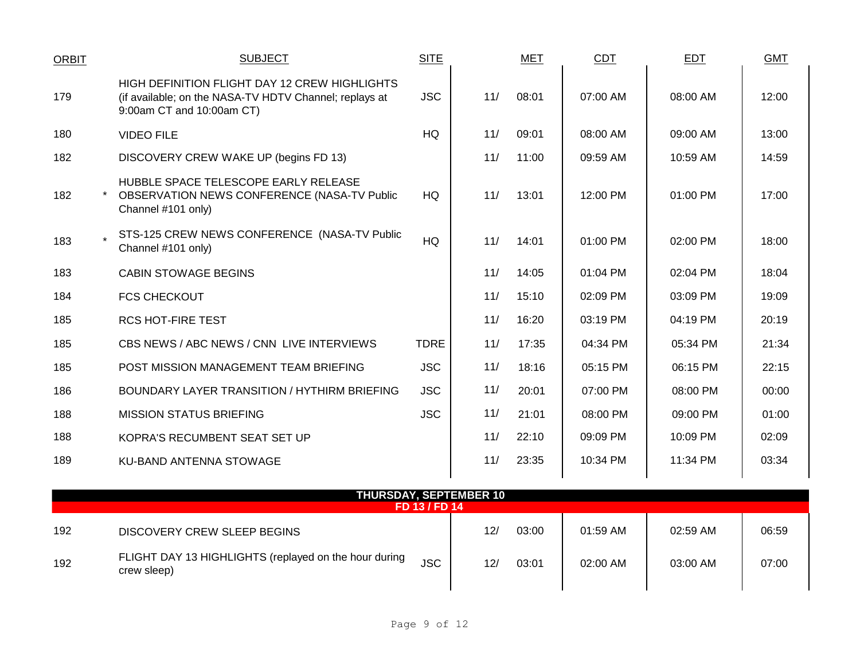| <b>ORBIT</b> | <b>SUBJECT</b>                                                                                                                       | <b>SITE</b> |     | <b>MET</b> | <b>CDT</b> | <b>EDT</b> | <b>GMT</b> |
|--------------|--------------------------------------------------------------------------------------------------------------------------------------|-------------|-----|------------|------------|------------|------------|
| 179          | HIGH DEFINITION FLIGHT DAY 12 CREW HIGHLIGHTS<br>(if available; on the NASA-TV HDTV Channel; replays at<br>9:00am CT and 10:00am CT) | <b>JSC</b>  | 11/ | 08:01      | 07:00 AM   | 08:00 AM   | 12:00      |
| 180          | <b>VIDEO FILE</b>                                                                                                                    | HQ          | 11/ | 09:01      | 08:00 AM   | 09:00 AM   | 13:00      |
| 182          | DISCOVERY CREW WAKE UP (begins FD 13)                                                                                                |             | 11/ | 11:00      | 09:59 AM   | 10:59 AM   | 14:59      |
| 182          | HUBBLE SPACE TELESCOPE EARLY RELEASE<br>OBSERVATION NEWS CONFERENCE (NASA-TV Public<br>Channel #101 only)                            | HQ          | 11/ | 13:01      | 12:00 PM   | 01:00 PM   | 17:00      |
| 183          | STS-125 CREW NEWS CONFERENCE (NASA-TV Public<br>Channel #101 only)                                                                   | HQ          | 11/ | 14:01      | 01:00 PM   | 02:00 PM   | 18:00      |
| 183          | <b>CABIN STOWAGE BEGINS</b>                                                                                                          |             | 11/ | 14:05      | 01:04 PM   | 02:04 PM   | 18:04      |
| 184          | <b>FCS CHECKOUT</b>                                                                                                                  |             | 11/ | 15:10      | $02:09$ PM | 03:09 PM   | 19:09      |
| 185          | <b>RCS HOT-FIRE TEST</b>                                                                                                             |             | 11/ | 16:20      | 03:19 PM   | 04:19 PM   | 20:19      |
| 185          | CBS NEWS / ABC NEWS / CNN LIVE INTERVIEWS                                                                                            | <b>TDRE</b> | 11/ | 17:35      | 04:34 PM   | 05:34 PM   | 21:34      |
| 185          | POST MISSION MANAGEMENT TEAM BRIEFING                                                                                                | <b>JSC</b>  | 11/ | 18:16      | 05:15 PM   | 06:15 PM   | 22:15      |
| 186          | BOUNDARY LAYER TRANSITION / HYTHIRM BRIEFING                                                                                         | <b>JSC</b>  | 11/ | 20:01      | 07:00 PM   | 08:00 PM   | 00:00      |
| 188          | <b>MISSION STATUS BRIEFING</b>                                                                                                       | <b>JSC</b>  | 11/ | 21:01      | 08:00 PM   | 09:00 PM   | 01:00      |
| 188          | KOPRA'S RECUMBENT SEAT SET UP                                                                                                        |             | 11/ | 22:10      | 09:09 PM   | 10:09 PM   | 02:09      |
| 189          | <b>KU-BAND ANTENNA STOWAGE</b>                                                                                                       |             | 11/ | 23:35      | 10:34 PM   | 11:34 PM   | 03:34      |
|              |                                                                                                                                      |             |     |            |            |            |            |

| <b>THURSDAY, SEPTEMBER 10</b><br>FD 13 / FD 14 |                                                                      |            |                 |       |            |          |       |  |  |  |  |
|------------------------------------------------|----------------------------------------------------------------------|------------|-----------------|-------|------------|----------|-------|--|--|--|--|
| 192                                            | DISCOVERY CREW SLEEP BEGINS                                          |            | 12 <sub>l</sub> | 03:00 | $01:59$ AM | 02:59 AM | 06:59 |  |  |  |  |
| 192                                            | FLIGHT DAY 13 HIGHLIGHTS (replayed on the hour during<br>crew sleep) | <b>JSC</b> | 12 <sub>l</sub> | 03:01 | 02:00 AM   | 03:00 AM | 07:00 |  |  |  |  |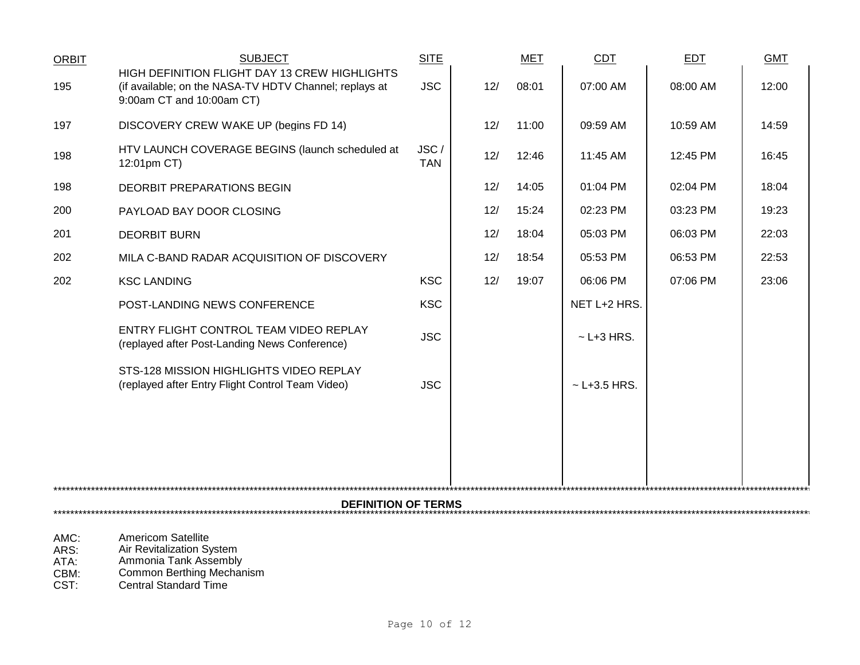| <b>ORBIT</b> | <b>SUBJECT</b>                                                                                                                       | <b>SITE</b>        |     | MET   | <b>CDT</b>       | <b>EDT</b> | <b>GMT</b> |  |  |  |  |
|--------------|--------------------------------------------------------------------------------------------------------------------------------------|--------------------|-----|-------|------------------|------------|------------|--|--|--|--|
| 195          | HIGH DEFINITION FLIGHT DAY 13 CREW HIGHLIGHTS<br>(if available; on the NASA-TV HDTV Channel; replays at<br>9:00am CT and 10:00am CT) | <b>JSC</b>         | 12/ | 08:01 | 07:00 AM         | 08:00 AM   | 12:00      |  |  |  |  |
| 197          | DISCOVERY CREW WAKE UP (begins FD 14)                                                                                                |                    | 12/ | 11:00 | 09:59 AM         | 10:59 AM   | 14:59      |  |  |  |  |
| 198          | HTV LAUNCH COVERAGE BEGINS (launch scheduled at<br>12:01pm CT)                                                                       | JSC/<br><b>TAN</b> | 12/ | 12:46 | 11:45 AM         | 12:45 PM   | 16:45      |  |  |  |  |
| 198          | DEORBIT PREPARATIONS BEGIN                                                                                                           |                    | 12/ | 14:05 | 01:04 PM         | 02:04 PM   | 18:04      |  |  |  |  |
| 200          | PAYLOAD BAY DOOR CLOSING                                                                                                             |                    | 12/ | 15:24 | 02:23 PM         | 03:23 PM   | 19:23      |  |  |  |  |
| 201          | <b>DEORBIT BURN</b>                                                                                                                  |                    | 12/ | 18:04 | 05:03 PM         | 06:03 PM   | 22:03      |  |  |  |  |
| 202          | MILA C-BAND RADAR ACQUISITION OF DISCOVERY                                                                                           |                    | 12/ | 18:54 | 05:53 PM         | 06:53 PM   | 22:53      |  |  |  |  |
| 202          | <b>KSC LANDING</b>                                                                                                                   | <b>KSC</b>         | 12/ | 19:07 | 06:06 PM         | 07:06 PM   | 23:06      |  |  |  |  |
|              | POST-LANDING NEWS CONFERENCE                                                                                                         | <b>KSC</b>         |     |       | NET L+2 HRS.     |            |            |  |  |  |  |
|              | ENTRY FLIGHT CONTROL TEAM VIDEO REPLAY<br>(replayed after Post-Landing News Conference)                                              | <b>JSC</b>         |     |       | $\sim$ L+3 HRS.  |            |            |  |  |  |  |
|              | STS-128 MISSION HIGHLIGHTS VIDEO REPLAY<br>(replayed after Entry Flight Control Team Video)                                          | <b>JSC</b>         |     |       | $~$ - L+3.5 HRS. |            |            |  |  |  |  |
|              |                                                                                                                                      |                    |     |       |                  |            |            |  |  |  |  |
|              |                                                                                                                                      |                    |     |       |                  |            |            |  |  |  |  |
|              | <b>DEFINITION OF TERMS</b>                                                                                                           |                    |     |       |                  |            |            |  |  |  |  |
|              |                                                                                                                                      |                    |     |       |                  |            |            |  |  |  |  |

- 
- AMC: Americom Satellite<br>
ARS: Air Revitalization Sy ARS: Air Revitalization System
- ATA: Ammonia Tank Assembly
- CBM: Common Berthing Mechanism
- CST: Central Standard Time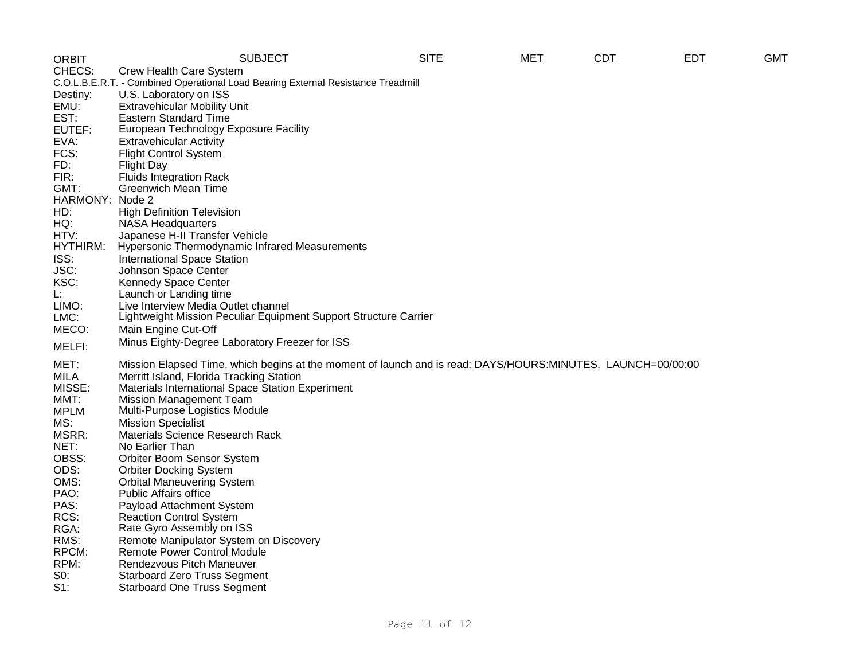| <b>ORBIT</b>    | <b>SUBJECT</b>                                                                                              | <b>SITE</b> | <b>MET</b> | <b>CDT</b> | <b>EDT</b> | <b>GMT</b> |
|-----------------|-------------------------------------------------------------------------------------------------------------|-------------|------------|------------|------------|------------|
| CHECS:          | Crew Health Care System                                                                                     |             |            |            |            |            |
|                 | C.O.L.B.E.R.T. - Combined Operational Load Bearing External Resistance Treadmill                            |             |            |            |            |            |
| Destiny:        | U.S. Laboratory on ISS                                                                                      |             |            |            |            |            |
| EMU:            | <b>Extravehicular Mobility Unit</b>                                                                         |             |            |            |            |            |
| EST:            | <b>Eastern Standard Time</b>                                                                                |             |            |            |            |            |
| EUTEF:          | European Technology Exposure Facility                                                                       |             |            |            |            |            |
| EVA:            | <b>Extravehicular Activity</b>                                                                              |             |            |            |            |            |
| FCS:            | <b>Flight Control System</b>                                                                                |             |            |            |            |            |
| FD:             | Flight Day                                                                                                  |             |            |            |            |            |
| FIR:            | <b>Fluids Integration Rack</b>                                                                              |             |            |            |            |            |
| GMT:            | <b>Greenwich Mean Time</b>                                                                                  |             |            |            |            |            |
| HARMONY: Node 2 |                                                                                                             |             |            |            |            |            |
| HD:             | <b>High Definition Television</b>                                                                           |             |            |            |            |            |
| HQ:             | <b>NASA Headquarters</b>                                                                                    |             |            |            |            |            |
| HTV:            | Japanese H-II Transfer Vehicle                                                                              |             |            |            |            |            |
| HYTHIRM:        | Hypersonic Thermodynamic Infrared Measurements                                                              |             |            |            |            |            |
| ISS:            | <b>International Space Station</b>                                                                          |             |            |            |            |            |
| JSC:            | Johnson Space Center                                                                                        |             |            |            |            |            |
| KSC:            | Kennedy Space Center                                                                                        |             |            |            |            |            |
| Ŀ.              | Launch or Landing time                                                                                      |             |            |            |            |            |
| LIMO:           | Live Interview Media Outlet channel                                                                         |             |            |            |            |            |
| LMC:            | Lightweight Mission Peculiar Equipment Support Structure Carrier                                            |             |            |            |            |            |
| MECO:           | Main Engine Cut-Off                                                                                         |             |            |            |            |            |
| MELFI:          | Minus Eighty-Degree Laboratory Freezer for ISS                                                              |             |            |            |            |            |
| MET:            | Mission Elapsed Time, which begins at the moment of launch and is read: DAYS/HOURS:MINUTES. LAUNCH=00/00:00 |             |            |            |            |            |
| MILA            | Merritt Island, Florida Tracking Station                                                                    |             |            |            |            |            |
| MISSE:          | Materials International Space Station Experiment                                                            |             |            |            |            |            |
| MMT:            | <b>Mission Management Team</b>                                                                              |             |            |            |            |            |
| <b>MPLM</b>     | Multi-Purpose Logistics Module                                                                              |             |            |            |            |            |
| MS:             | <b>Mission Specialist</b>                                                                                   |             |            |            |            |            |
| MSRR:           | Materials Science Research Rack                                                                             |             |            |            |            |            |
| NET:            | No Earlier Than                                                                                             |             |            |            |            |            |
| OBSS:           | Orbiter Boom Sensor System                                                                                  |             |            |            |            |            |
| ODS:            | <b>Orbiter Docking System</b>                                                                               |             |            |            |            |            |
| OMS:            | <b>Orbital Maneuvering System</b>                                                                           |             |            |            |            |            |
| PAO:            | <b>Public Affairs office</b>                                                                                |             |            |            |            |            |
| PAS:            | Payload Attachment System                                                                                   |             |            |            |            |            |
| RCS:            | <b>Reaction Control System</b>                                                                              |             |            |            |            |            |
| RGA:            | Rate Gyro Assembly on ISS                                                                                   |             |            |            |            |            |
| RMS:            | Remote Manipulator System on Discovery                                                                      |             |            |            |            |            |
| RPCM:           | <b>Remote Power Control Module</b>                                                                          |             |            |            |            |            |
| RPM:            | Rendezvous Pitch Maneuver                                                                                   |             |            |            |            |            |
| $S0$ :          | <b>Starboard Zero Truss Segment</b>                                                                         |             |            |            |            |            |
| $S1$ :          | <b>Starboard One Truss Segment</b>                                                                          |             |            |            |            |            |